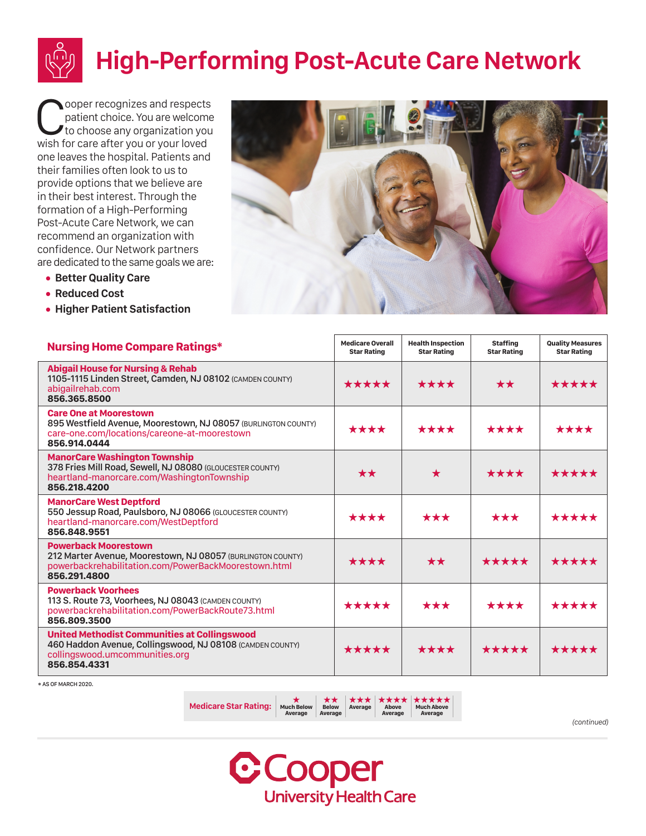

ooper recognizes and respects patient choice. You are welcome to choose any organization you wish for care after you or your loved one leaves the hospital. Patients and their families often look to us to provide options that we believe are in their best interest. Through the formation of a High-Performing Post-Acute Care Network, we can recommend an organization with confidence. Our Network partners are dedicated to the same goals we are:

- **• Better Quality Care**
- **• Reduced Cost**
- **• Higher Patient Satisfaction**



| <b>Nursing Home Compare Ratings*</b>                                                                                                                               | <b>Medicare Overall</b><br><b>Star Rating</b> | <b>Health Inspection</b><br><b>Star Rating</b> | <b>Staffing</b><br><b>Star Rating</b> | <b>Quality Measures</b><br><b>Star Rating</b> |
|--------------------------------------------------------------------------------------------------------------------------------------------------------------------|-----------------------------------------------|------------------------------------------------|---------------------------------------|-----------------------------------------------|
| <b>Abigail House for Nursing &amp; Rehab</b><br>1105-1115 Linden Street, Camden, NJ 08102 (CAMDEN COUNTY)<br>abigailrehab.com<br>856.365.8500                      | *****                                         | ****                                           | $\star\star$                          | *****                                         |
| <b>Care One at Moorestown</b><br>895 Westfield Avenue, Moorestown, NJ 08057 (BURLINGTON COUNTY)<br>care-one.com/locations/careone-at-moorestown<br>856.914.0444    | ****                                          | ****                                           | ****                                  | ****                                          |
| <b>ManorCare Washington Township</b><br>378 Fries Mill Road, Sewell, NJ 08080 (GLOUCESTER COUNTY)<br>heartland-manorcare.com/WashingtonTownship<br>856.218.4200    | $\star\star$                                  | $\star$                                        | ****                                  | *****                                         |
| <b>ManorCare West Deptford</b><br>550 Jessup Road, Paulsboro, NJ 08066 (GLOUCESTER COUNTY)<br>heartland-manorcare.com/WestDeptford<br>856.848.9551                 | ****                                          | $\star\star\star$                              | ***                                   | *****                                         |
| <b>Powerback Moorestown</b><br>212 Marter Avenue, Moorestown, NJ 08057 (BURLINGTON COUNTY)<br>powerbackrehabilitation.com/PowerBackMoorestown.html<br>856.291.4800 | ****                                          | $\star\star$                                   | *****                                 | *****                                         |
| <b>Powerback Voorhees</b><br>113 S. Route 73, Voorhees, NJ 08043 (CAMDEN COUNTY)<br>powerbackrehabilitation.com/PowerBackRoute73.html<br>856.809.3500              | *****                                         | $\star\star\star$                              | ****                                  | *****                                         |
| <b>United Methodist Communities at Collingswood</b><br>460 Haddon Avenue, Collingswood, NJ 08108 (CAMDEN COUNTY)<br>collingswood.umcommunities.org<br>856.854.4331 | *****                                         | ****                                           | *****                                 | *****                                         |

\* AS OF MARCH 2020.